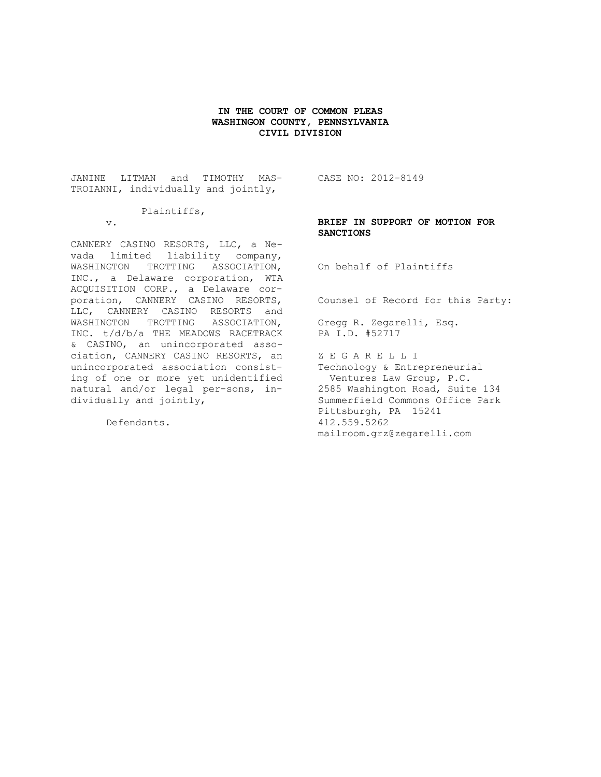## **IN THE COURT OF COMMON PLEAS WASHINGON COUNTY, PENNSYLVANIA CIVIL DIVISION**

JANINE LITMAN and TIMOTHY MAS-TROIANNI, individually and jointly,

## Plaintiffs,

v.

CANNERY CASINO RESORTS, LLC, a Nevada limited liability company, WASHINGTON TROTTING ASSOCIATION, INC., a Delaware corporation, WTA ACQUISITION CORP., a Delaware corporation, CANNERY CASINO RESORTS, LLC, CANNERY CASINO RESORTS and WASHINGTON TROTTING ASSOCIATION, INC. t/d/b/a THE MEADOWS RACETRACK & CASINO, an unincorporated association, CANNERY CASINO RESORTS, an unincorporated association consisting of one or more yet unidentified natural and/or legal per-sons, individually and jointly,

Defendants.

CASE NO: 2012-8149

# **BRIEF IN SUPPORT OF MOTION FOR SANCTIONS**

On behalf of Plaintiffs

Counsel of Record for this Party:

Gregg R. Zegarelli, Esq. PA I.D. #52717

Z E G A R E L L I Technology & Entrepreneurial Ventures Law Group, P.C. 2585 Washington Road, Suite 134 Summerfield Commons Office Park Pittsburgh, PA 15241 412.559.5262 mailroom.grz@zegarelli.com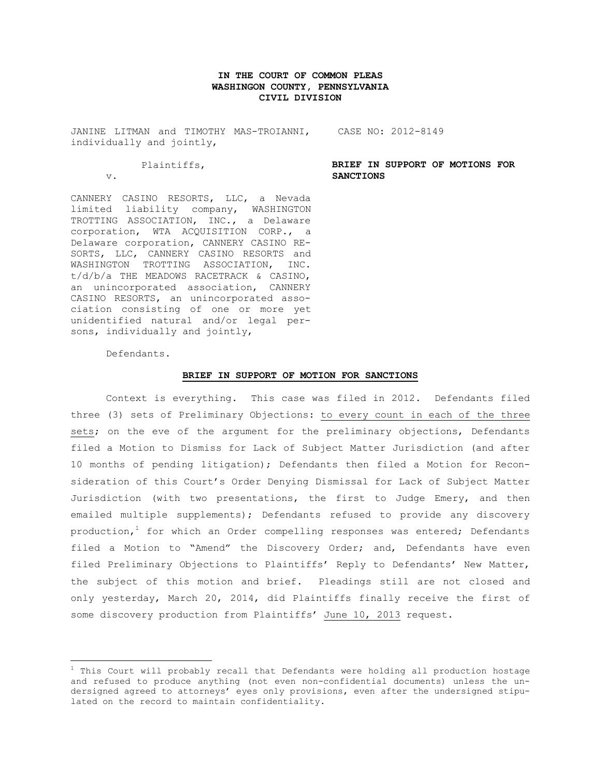# **IN THE COURT OF COMMON PLEAS WASHINGON COUNTY, PENNSYLVANIA CIVIL DIVISION**

JANINE LITMAN and TIMOTHY MAS-TROIANNI, CASE NO: 2012-8149 individually and jointly,

# Plaintiffs,

v.

CANNERY CASINO RESORTS, LLC, a Nevada limited liability company, WASHINGTON TROTTING ASSOCIATION, INC., a Delaware corporation, WTA ACQUISITION CORP., a Delaware corporation, CANNERY CASINO RE-SORTS, LLC, CANNERY CASINO RESORTS and WASHINGTON TROTTING ASSOCIATION, INC. t/d/b/a THE MEADOWS RACETRACK & CASINO, an unincorporated association, CANNERY CASINO RESORTS, an unincorporated association consisting of one or more yet unidentified natural and/or legal persons, individually and jointly,

Defendants.

 $\overline{a}$ 

#### **BRIEF IN SUPPORT OF MOTION FOR SANCTIONS**

Context is everything. This case was filed in 2012. Defendants filed three (3) sets of Preliminary Objections: to every count in each of the three sets; on the eve of the argument for the preliminary objections, Defendants filed a Motion to Dismiss for Lack of Subject Matter Jurisdiction (and after 10 months of pending litigation); Defendants then filed a Motion for Reconsideration of this Court's Order Denying Dismissal for Lack of Subject Matter Jurisdiction (with two presentations, the first to Judge Emery, and then emailed multiple supplements); Defendants refused to provide any discovery production,<sup>1</sup> for which an Order compelling responses was entered; Defendants filed a Motion to "Amend" the Discovery Order; and, Defendants have even filed Preliminary Objections to Plaintiffs' Reply to Defendants' New Matter, the subject of this motion and brief. Pleadings still are not closed and only yesterday, March 20, 2014, did Plaintiffs finally receive the first of some discovery production from Plaintiffs' June 10, 2013 request.

**BRIEF IN SUPPORT OF MOTIONS FOR SANCTIONS**

 $^1$  This Court will probably recall that Defendants were holding all production hostage and refused to produce anything (not even non-confidential documents) unless the undersigned agreed to attorneys' eyes only provisions, even after the undersigned stipulated on the record to maintain confidentiality.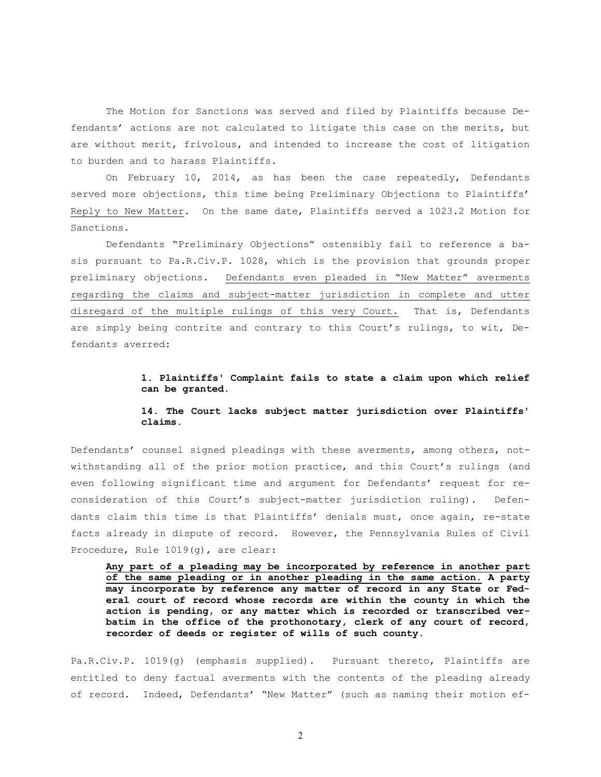The Motion for Sanctions was served and filed by Plaintiffs because Defendants' actions are not calculated to litigate this case on the merits, but are without merit, frivolous, and intended to increase the cost of litigation to burden and to harass Plaintiffs.

On February 10, 2014, as has been the case repeatedly, Defendants served more objections, this time being Preliminary Objections to Plaintiffs' Reply to New Matter. On the same date, Plaintiffs served a 1023.2 Motion for Sanctions.

Defendants "Preliminary Objections" ostensibly fail to reference a basis pursuant to Pa.R.Civ.P. 1028, which is the provision that grounds proper preliminary objections. Defendants even pleaded in "New Matter" averments regarding the claims and subject-matter jurisdiction in complete and utter disregard of the multiple rulings of this very Court. That is, Defendants are simply being contrite and contrary to this Court's rulings, to wit, Defendants averred:

# **1. Plaintiffs' Complaint fails to state a claim upon which relief can be granted.**

# **14. The Court lacks subject matter jurisdiction over Plaintiffs' claims.**

Defendants' counsel signed pleadings with these averments, among others, notwithstanding all of the prior motion practice, and this Court's rulings (and even following significant time and argument for Defendants' request for reconsideration of this Court's subject-matter jurisdiction ruling). Defendants claim this time is that Plaintiffs' denials must, once again, re-state facts already in dispute of record. However, the Pennsylvania Rules of Civil Procedure, Rule 1019(g), are clear:

**Any part of a pleading may be incorporated by reference in another part of the same pleading or in another pleading in the same action. A party may incorporate by reference any matter of record in any State or Federal court of record whose records are within the county in which the action is pending, or any matter which is recorded or transcribed verbatim in the office of the prothonotary, clerk of any court of record, recorder of deeds or register of wills of such county.**

Pa.R.Civ.P. 1019(g) (emphasis supplied). Pursuant thereto, Plaintiffs are entitled to deny factual averments with the contents of the pleading already of record. Indeed, Defendants' "New Matter" (such as naming their motion ef-

2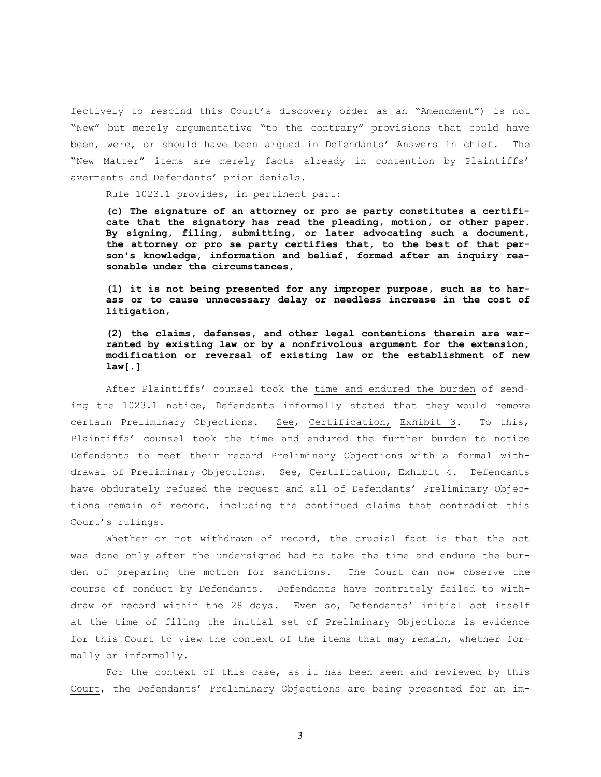fectively to rescind this Court's discovery order as an "Amendment") is not "New" but merely argumentative "to the contrary" provisions that could have been, were, or should have been argued in Defendants' Answers in chief. The "New Matter" items are merely facts already in contention by Plaintiffs' averments and Defendants' prior denials.

Rule 1023.1 provides, in pertinent part:

**(c) The signature of an attorney or pro se party constitutes a certificate that the signatory has read the pleading, motion, or other paper. By signing, filing, submitting, or later advocating such a document, the attorney or pro se party certifies that, to the best of that person's knowledge, information and belief, formed after an inquiry reasonable under the circumstances,**

**(1) it is not being presented for any improper purpose, such as to harass or to cause unnecessary delay or needless increase in the cost of litigation,**

**(2) the claims, defenses, and other legal contentions therein are warranted by existing law or by a nonfrivolous argument for the extension, modification or reversal of existing law or the establishment of new law[.]**

After Plaintiffs' counsel took the time and endured the burden of sending the 1023.1 notice, Defendants informally stated that they would remove certain Preliminary Objections. See, Certification, Exhibit 3. To this, Plaintiffs' counsel took the time and endured the further burden to notice Defendants to meet their record Preliminary Objections with a formal withdrawal of Preliminary Objections. See, Certification, Exhibit 4. Defendants have obdurately refused the request and all of Defendants' Preliminary Objections remain of record, including the continued claims that contradict this Court's rulings.

Whether or not withdrawn of record, the crucial fact is that the act was done only after the undersigned had to take the time and endure the burden of preparing the motion for sanctions. The Court can now observe the course of conduct by Defendants. Defendants have contritely failed to withdraw of record within the 28 days. Even so, Defendants' initial act itself at the time of filing the initial set of Preliminary Objections is evidence for this Court to view the context of the items that may remain, whether formally or informally.

For the context of this case, as it has been seen and reviewed by this Court, the Defendants' Preliminary Objections are being presented for an im-

3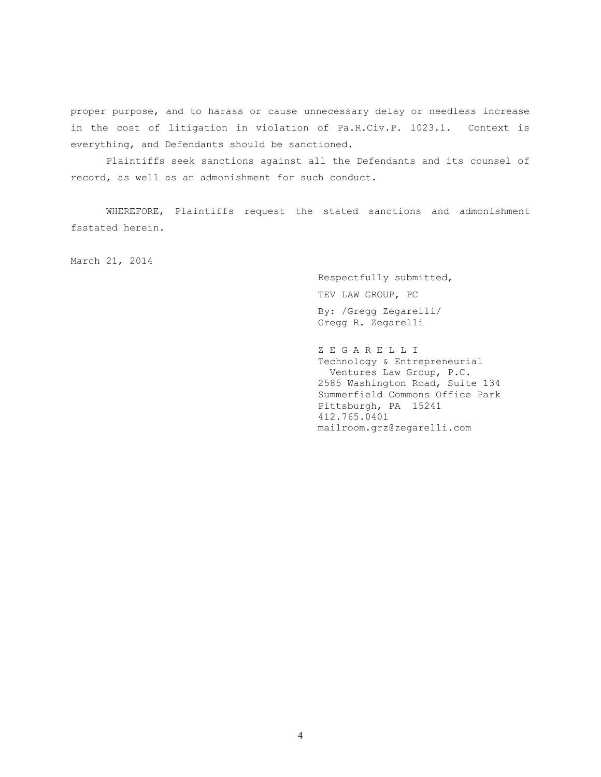proper purpose, and to harass or cause unnecessary delay or needless increase in the cost of litigation in violation of Pa.R.Civ.P. 1023.1. Context is everything, and Defendants should be sanctioned.

Plaintiffs seek sanctions against all the Defendants and its counsel of record, as well as an admonishment for such conduct.

WHEREFORE, Plaintiffs request the stated sanctions and admonishment fsstated herein.

March 21, 2014

Respectfully submitted, TEV LAW GROUP, PC By: /Gregg Zegarelli/ Gregg R. Zegarelli

Z E G A R E L L I Technology & Entrepreneurial Ventures Law Group, P.C. 2585 Washington Road, Suite 134 Summerfield Commons Office Park Pittsburgh, PA 15241 412.765.0401 mailroom.grz@zegarelli.com